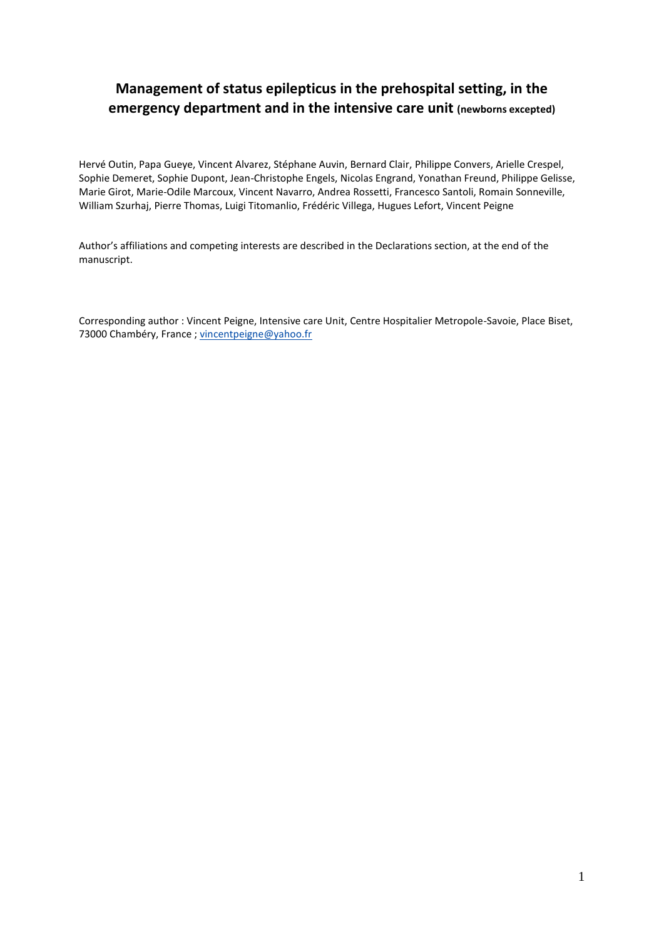# **Management of status epilepticus in the prehospital setting, in the emergency department and in the intensive care unit (newborns excepted)**

Hervé Outin, Papa Gueye, Vincent Alvarez, Stéphane Auvin, Bernard Clair, Philippe Convers, Arielle Crespel, Sophie Demeret, Sophie Dupont, Jean-Christophe Engels, Nicolas Engrand, Yonathan Freund, Philippe Gelisse, Marie Girot, Marie-Odile Marcoux, Vincent Navarro, Andrea Rossetti, Francesco Santoli, Romain Sonneville, William Szurhaj, Pierre Thomas, Luigi Titomanlio, Frédéric Villega, Hugues Lefort, Vincent Peigne

Author's affiliations and competing interests are described in the Declarations section, at the end of the manuscript.

Corresponding author : Vincent Peigne, Intensive care Unit, Centre Hospitalier Metropole-Savoie, Place Biset, 73000 Chambéry, France ; [vincentpeigne@yahoo.fr](mailto:vincentpeigne@yahoo.fr)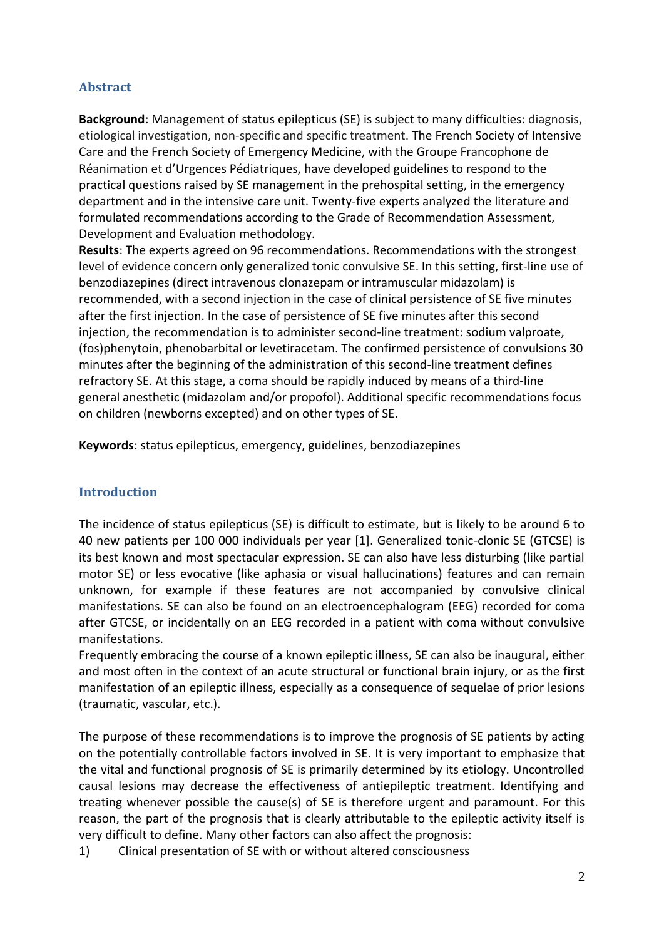## **Abstract**

**Background**: Management of status epilepticus (SE) is subject to many difficulties: diagnosis, etiological investigation, non-specific and specific treatment. The French Society of Intensive Care and the French Society of Emergency Medicine, with the Groupe Francophone de Réanimation et d'Urgences Pédiatriques, have developed guidelines to respond to the practical questions raised by SE management in the prehospital setting, in the emergency department and in the intensive care unit. Twenty-five experts analyzed the literature and formulated recommendations according to the Grade of Recommendation Assessment, Development and Evaluation methodology.

**Results**: The experts agreed on 96 recommendations. Recommendations with the strongest level of evidence concern only generalized tonic convulsive SE. In this setting, first-line use of benzodiazepines (direct intravenous clonazepam or intramuscular midazolam) is recommended, with a second injection in the case of clinical persistence of SE five minutes after the first injection. In the case of persistence of SE five minutes after this second injection, the recommendation is to administer second-line treatment: sodium valproate, (fos)phenytoin, phenobarbital or levetiracetam. The confirmed persistence of convulsions 30 minutes after the beginning of the administration of this second-line treatment defines refractory SE. At this stage, a coma should be rapidly induced by means of a third-line general anesthetic (midazolam and/or propofol). Additional specific recommendations focus on children (newborns excepted) and on other types of SE.

**Keywords**: status epilepticus, emergency, guidelines, benzodiazepines

## **Introduction**

The incidence of status epilepticus (SE) is difficult to estimate, but is likely to be around 6 to 40 new patients per 100 000 individuals per year [1]. Generalized tonic-clonic SE (GTCSE) is its best known and most spectacular expression. SE can also have less disturbing (like partial motor SE) or less evocative (like aphasia or visual hallucinations) features and can remain unknown, for example if these features are not accompanied by convulsive clinical manifestations. SE can also be found on an electroencephalogram (EEG) recorded for coma after GTCSE, or incidentally on an EEG recorded in a patient with coma without convulsive manifestations.

Frequently embracing the course of a known epileptic illness, SE can also be inaugural, either and most often in the context of an acute structural or functional brain injury, or as the first manifestation of an epileptic illness, especially as a consequence of sequelae of prior lesions (traumatic, vascular, etc.).

The purpose of these recommendations is to improve the prognosis of SE patients by acting on the potentially controllable factors involved in SE. It is very important to emphasize that the vital and functional prognosis of SE is primarily determined by its etiology. Uncontrolled causal lesions may decrease the effectiveness of antiepileptic treatment. Identifying and treating whenever possible the cause(s) of SE is therefore urgent and paramount. For this reason, the part of the prognosis that is clearly attributable to the epileptic activity itself is very difficult to define. Many other factors can also affect the prognosis:

1) Clinical presentation of SE with or without altered consciousness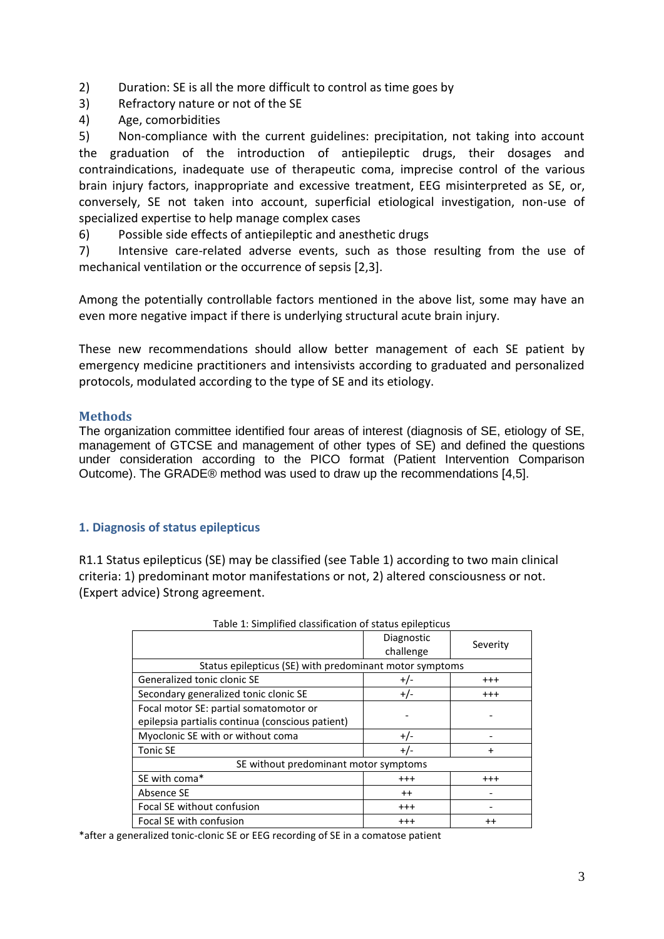- 2) Duration: SE is all the more difficult to control as time goes by
- 3) Refractory nature or not of the SE
- 4) Age, comorbidities

5) Non-compliance with the current guidelines: precipitation, not taking into account the graduation of the introduction of antiepileptic drugs, their dosages and contraindications, inadequate use of therapeutic coma, imprecise control of the various brain injury factors, inappropriate and excessive treatment, EEG misinterpreted as SE, or, conversely, SE not taken into account, superficial etiological investigation, non-use of specialized expertise to help manage complex cases

6) Possible side effects of antiepileptic and anesthetic drugs

7) Intensive care-related adverse events, such as those resulting from the use of mechanical ventilation or the occurrence of sepsis [2,3].

Among the potentially controllable factors mentioned in the above list, some may have an even more negative impact if there is underlying structural acute brain injury.

These new recommendations should allow better management of each SE patient by emergency medicine practitioners and intensivists according to graduated and personalized protocols, modulated according to the type of SE and its etiology.

### **Methods**

The organization committee identified four areas of interest (diagnosis of SE, etiology of SE, management of GTCSE and management of other types of SE) and defined the questions under consideration according to the PICO format (Patient Intervention Comparison Outcome). The GRADE® method was used to draw up the recommendations [4,5].

## **1. Diagnosis of status epilepticus**

R1.1 Status epilepticus (SE) may be classified (see Table 1) according to two main clinical criteria: 1) predominant motor manifestations or not, 2) altered consciousness or not. (Expert advice) Strong agreement.

|                                                                                            | Diagnostic<br>challenge | Severity |  |
|--------------------------------------------------------------------------------------------|-------------------------|----------|--|
| Status epilepticus (SE) with predominant motor symptoms                                    |                         |          |  |
| Generalized tonic clonic SE                                                                | $+/-$                   | $^{+++}$ |  |
| Secondary generalized tonic clonic SE                                                      | $+/-$                   | $^{+++}$ |  |
| Focal motor SE: partial somatomotor or<br>epilepsia partialis continua (conscious patient) |                         |          |  |
| Myoclonic SE with or without coma                                                          | $+/-$                   |          |  |
| <b>Tonic SE</b>                                                                            | $+/-$                   |          |  |
| SE without predominant motor symptoms                                                      |                         |          |  |
| SE with coma*                                                                              | $^{+++}$                | $^{+++}$ |  |
| Absence SE                                                                                 | $++$                    |          |  |
| Focal SE without confusion                                                                 | $^{+++}$                |          |  |
| Focal SE with confusion                                                                    | $^{++}$                 | $^{++}$  |  |

\*after a generalized tonic-clonic SE or EEG recording of SE in a comatose patient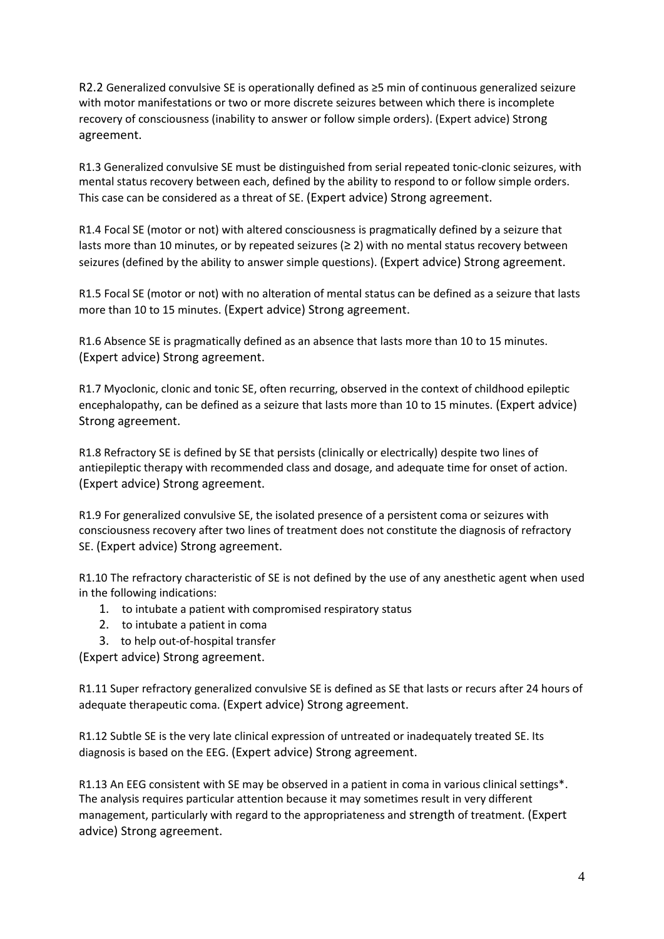R2.2 Generalized convulsive SE is operationally defined as ≥5 min of continuous generalized seizure with motor manifestations or two or more discrete seizures between which there is incomplete recovery of consciousness (inability to answer or follow simple orders). (Expert advice) Strong agreement.

R1.3 Generalized convulsive SE must be distinguished from serial repeated tonic-clonic seizures, with mental status recovery between each, defined by the ability to respond to or follow simple orders. This case can be considered as a threat of SE. (Expert advice) Strong agreement.

R1.4 Focal SE (motor or not) with altered consciousness is pragmatically defined by a seizure that lasts more than 10 minutes, or by repeated seizures ( $\geq$  2) with no mental status recovery between seizures (defined by the ability to answer simple questions). (Expert advice) Strong agreement.

R1.5 Focal SE (motor or not) with no alteration of mental status can be defined as a seizure that lasts more than 10 to 15 minutes. (Expert advice) Strong agreement.

R1.6 Absence SE is pragmatically defined as an absence that lasts more than 10 to 15 minutes. (Expert advice) Strong agreement.

R1.7 Myoclonic, clonic and tonic SE, often recurring, observed in the context of childhood epileptic encephalopathy, can be defined as a seizure that lasts more than 10 to 15 minutes. (Expert advice) Strong agreement.

R1.8 Refractory SE is defined by SE that persists (clinically or electrically) despite two lines of antiepileptic therapy with recommended class and dosage, and adequate time for onset of action. (Expert advice) Strong agreement.

R1.9 For generalized convulsive SE, the isolated presence of a persistent coma or seizures with consciousness recovery after two lines of treatment does not constitute the diagnosis of refractory SE. (Expert advice) Strong agreement.

R1.10 The refractory characteristic of SE is not defined by the use of any anesthetic agent when used in the following indications:

- 1. to intubate a patient with compromised respiratory status
- 2. to intubate a patient in coma
- 3. to help out-of-hospital transfer

(Expert advice) Strong agreement.

R1.11 Super refractory generalized convulsive SE is defined as SE that lasts or recurs after 24 hours of adequate therapeutic coma. (Expert advice) Strong agreement.

R1.12 Subtle SE is the very late clinical expression of untreated or inadequately treated SE. Its diagnosis is based on the EEG. (Expert advice) Strong agreement.

R1.13 An EEG consistent with SE may be observed in a patient in coma in various clinical settings\*. The analysis requires particular attention because it may sometimes result in very different management, particularly with regard to the appropriateness and strength of treatment. (Expert advice) Strong agreement.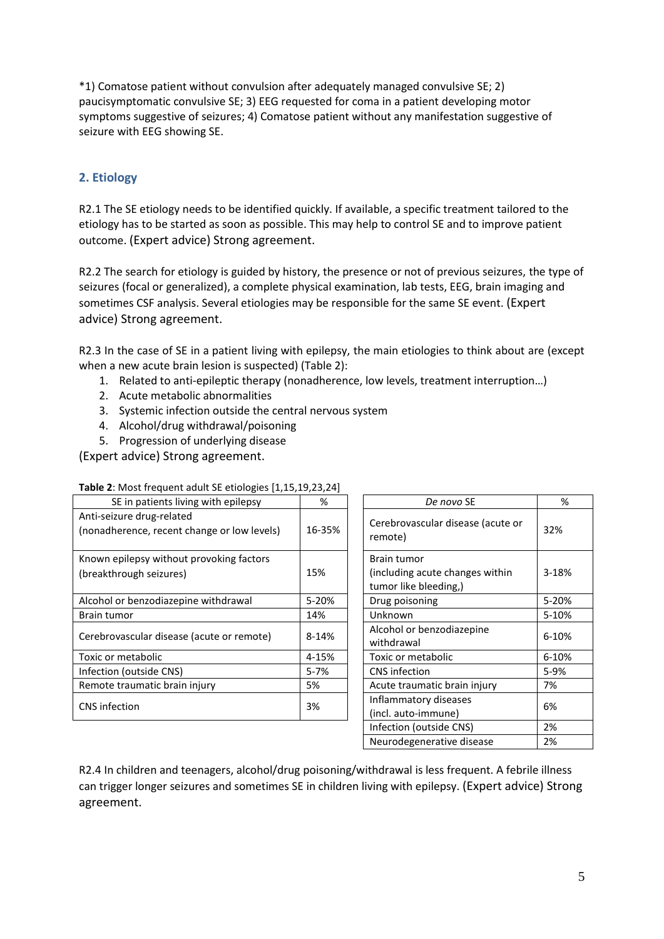\*1) Comatose patient without convulsion after adequately managed convulsive SE; 2) paucisymptomatic convulsive SE; 3) EEG requested for coma in a patient developing motor symptoms suggestive of seizures; 4) Comatose patient without any manifestation suggestive of seizure with EEG showing SE.

## **2. Etiology**

R2.1 The SE etiology needs to be identified quickly. If available, a specific treatment tailored to the etiology has to be started as soon as possible. This may help to control SE and to improve patient outcome. (Expert advice) Strong agreement.

R2.2 The search for etiology is guided by history, the presence or not of previous seizures, the type of seizures (focal or generalized), a complete physical examination, lab tests, EEG, brain imaging and sometimes CSF analysis. Several etiologies may be responsible for the same SE event. (Expert advice) Strong agreement.

R2.3 In the case of SE in a patient living with epilepsy, the main etiologies to think about are (except when a new acute brain lesion is suspected) (Table 2):

- 1. Related to anti-epileptic therapy (nonadherence, low levels, treatment interruption…)
- 2. Acute metabolic abnormalities
- 3. Systemic infection outside the central nervous system
- 4. Alcohol/drug withdrawal/poisoning
- 5. Progression of underlying disease

(Expert advice) Strong agreement.

| SE in patients living with epilepsy                                      | ℅         | De novo SE                                                              | %         |
|--------------------------------------------------------------------------|-----------|-------------------------------------------------------------------------|-----------|
| Anti-seizure drug-related<br>(nonadherence, recent change or low levels) | 16-35%    | Cerebrovascular disease (acute or<br>remote)                            | 32%       |
| Known epilepsy without provoking factors<br>(breakthrough seizures)      | 15%       | Brain tumor<br>(including acute changes within<br>tumor like bleeding,) | 3-18%     |
| Alcohol or benzodiazepine withdrawal                                     | 5-20%     | Drug poisoning                                                          | 5-20%     |
| Brain tumor                                                              | 14%       | Unknown                                                                 | 5-10%     |
| Cerebrovascular disease (acute or remote)                                | $8 - 14%$ | Alcohol or benzodiazepine<br>withdrawal                                 | $6 - 10%$ |
| Toxic or metabolic                                                       | 4-15%     | Toxic or metabolic                                                      | 6-10%     |
| Infection (outside CNS)                                                  | $5 - 7%$  | CNS infection                                                           | 5-9%      |
| Remote traumatic brain injury                                            | 5%        | Acute traumatic brain injury                                            | 7%        |
| CNS infection                                                            | 3%        | Inflammatory diseases<br>(incl. auto-immune)                            | 6%        |

| De novo SE                                   | %     |
|----------------------------------------------|-------|
| Cerebrovascular disease (acute or<br>remote) | 32%   |
| Brain tumor                                  |       |
| (including acute changes within)             | 3-18% |
| tumor like bleeding,)                        |       |
| Drug poisoning                               | 5-20% |
| Unknown                                      | 5-10% |
| Alcohol or benzodiazepine                    | 6-10% |
| withdrawal                                   |       |
| Toxic or metabolic                           | 6-10% |
| <b>CNS</b> infection                         | 5-9%  |
| Acute traumatic brain injury                 | 7%    |
| Inflammatory diseases                        | 6%    |
| (incl. auto-immune)                          |       |
| Infection (outside CNS)                      | 2%    |
| Neurodegenerative disease                    | 2%    |

R2.4 In children and teenagers, alcohol/drug poisoning/withdrawal is less frequent. A febrile illness can trigger longer seizures and sometimes SE in children living with epilepsy. (Expert advice) Strong agreement.

#### **Table 2**: Most frequent adult SE etiologies [1,15,19,23,24]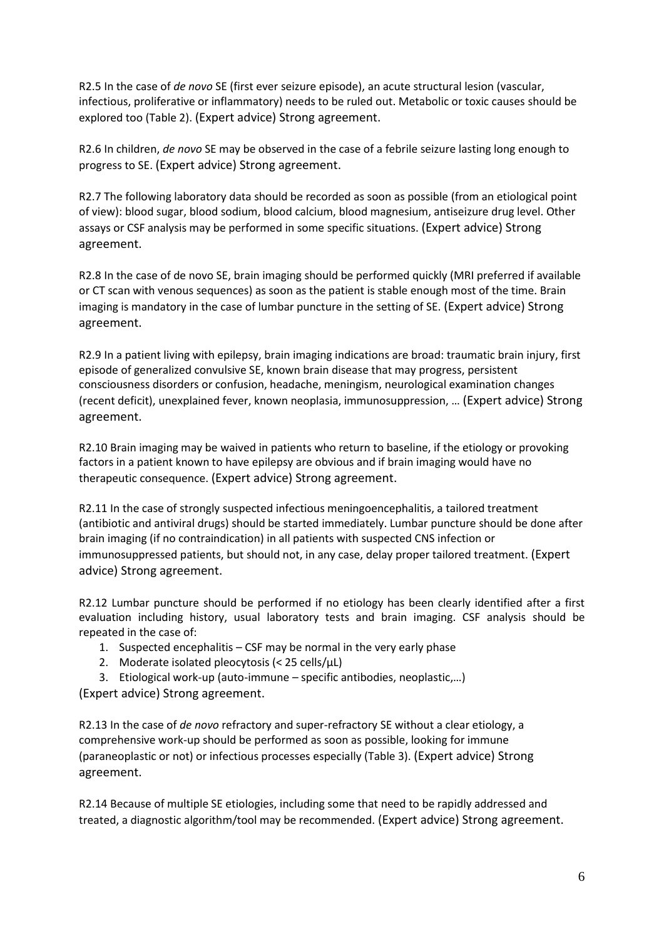R2.5 In the case of *de novo* SE (first ever seizure episode), an acute structural lesion (vascular, infectious, proliferative or inflammatory) needs to be ruled out. Metabolic or toxic causes should be explored too (Table 2). (Expert advice) Strong agreement.

R2.6 In children, *de novo* SE may be observed in the case of a febrile seizure lasting long enough to progress to SE. (Expert advice) Strong agreement.

R2.7 The following laboratory data should be recorded as soon as possible (from an etiological point of view): blood sugar, blood sodium, blood calcium, blood magnesium, antiseizure drug level. Other assays or CSF analysis may be performed in some specific situations. (Expert advice) Strong agreement.

R2.8 In the case of de novo SE, brain imaging should be performed quickly (MRI preferred if available or CT scan with venous sequences) as soon as the patient is stable enough most of the time. Brain imaging is mandatory in the case of lumbar puncture in the setting of SE. (Expert advice) Strong agreement.

R2.9 In a patient living with epilepsy, brain imaging indications are broad: traumatic brain injury, first episode of generalized convulsive SE, known brain disease that may progress, persistent consciousness disorders or confusion, headache, meningism, neurological examination changes (recent deficit), unexplained fever, known neoplasia, immunosuppression, … (Expert advice) Strong agreement.

R2.10 Brain imaging may be waived in patients who return to baseline, if the etiology or provoking factors in a patient known to have epilepsy are obvious and if brain imaging would have no therapeutic consequence. (Expert advice) Strong agreement.

R2.11 In the case of strongly suspected infectious meningoencephalitis, a tailored treatment (antibiotic and antiviral drugs) should be started immediately. Lumbar puncture should be done after brain imaging (if no contraindication) in all patients with suspected CNS infection or immunosuppressed patients, but should not, in any case, delay proper tailored treatment. (Expert advice) Strong agreement.

R2.12 Lumbar puncture should be performed if no etiology has been clearly identified after a first evaluation including history, usual laboratory tests and brain imaging. CSF analysis should be repeated in the case of:

- 1. Suspected encephalitis CSF may be normal in the very early phase
- 2. Moderate isolated pleocytosis ( $<$  25 cells/ $\mu$ L)

3. Etiological work-up (auto-immune – specific antibodies, neoplastic,…) (Expert advice) Strong agreement.

R2.13 In the case of *de novo* refractory and super-refractory SE without a clear etiology, a comprehensive work-up should be performed as soon as possible, looking for immune (paraneoplastic or not) or infectious processes especially (Table 3). (Expert advice) Strong agreement.

R2.14 Because of multiple SE etiologies, including some that need to be rapidly addressed and treated, a diagnostic algorithm/tool may be recommended. (Expert advice) Strong agreement.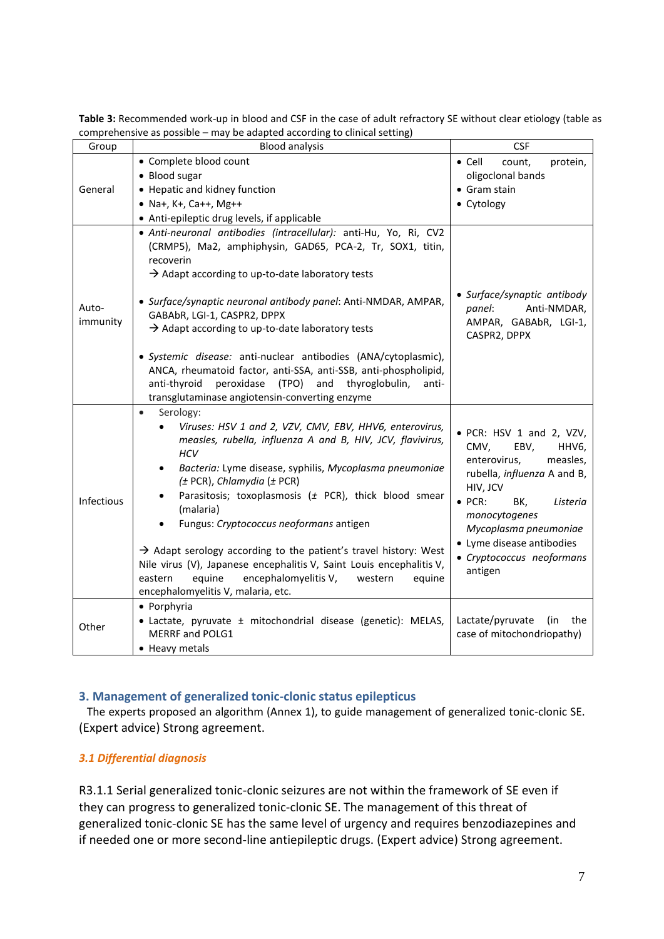| Group             | complementive as possible – may be adapted according to cilincal setting)<br><b>Blood analysis</b>                                                                                                                                                                                                                                                                                                                                                                                                                                                                                                                                                | <b>CSF</b>                                                                                                                                                                                                                                                                   |
|-------------------|---------------------------------------------------------------------------------------------------------------------------------------------------------------------------------------------------------------------------------------------------------------------------------------------------------------------------------------------------------------------------------------------------------------------------------------------------------------------------------------------------------------------------------------------------------------------------------------------------------------------------------------------------|------------------------------------------------------------------------------------------------------------------------------------------------------------------------------------------------------------------------------------------------------------------------------|
|                   | • Complete blood count                                                                                                                                                                                                                                                                                                                                                                                                                                                                                                                                                                                                                            | $\bullet$ Cell<br>count,<br>protein,                                                                                                                                                                                                                                         |
|                   | • Blood sugar                                                                                                                                                                                                                                                                                                                                                                                                                                                                                                                                                                                                                                     | oligoclonal bands                                                                                                                                                                                                                                                            |
| General           | • Hepatic and kidney function                                                                                                                                                                                                                                                                                                                                                                                                                                                                                                                                                                                                                     | • Gram stain                                                                                                                                                                                                                                                                 |
|                   | • Na+, K+, Ca++, Mg++                                                                                                                                                                                                                                                                                                                                                                                                                                                                                                                                                                                                                             | • Cytology                                                                                                                                                                                                                                                                   |
|                   | • Anti-epileptic drug levels, if applicable                                                                                                                                                                                                                                                                                                                                                                                                                                                                                                                                                                                                       |                                                                                                                                                                                                                                                                              |
| Auto-<br>immunity | · Anti-neuronal antibodies (intracellular): anti-Hu, Yo, Ri, CV2<br>(CRMP5), Ma2, amphiphysin, GAD65, PCA-2, Tr, SOX1, titin,<br>recoverin<br>$\rightarrow$ Adapt according to up-to-date laboratory tests<br>• Surface/synaptic neuronal antibody panel: Anti-NMDAR, AMPAR,<br>GABAbR, LGI-1, CASPR2, DPPX<br>$\rightarrow$ Adapt according to up-to-date laboratory tests<br>· Systemic disease: anti-nuclear antibodies (ANA/cytoplasmic),<br>ANCA, rheumatoid factor, anti-SSA, anti-SSB, anti-phospholipid,<br>peroxidase<br>(TPO) and thyroglobulin,<br>anti-thyroid<br>anti-<br>transglutaminase angiotensin-converting enzyme             | • Surface/synaptic antibody<br>panel:<br>Anti-NMDAR,<br>AMPAR, GABAbR, LGI-1,<br>CASPR2, DPPX                                                                                                                                                                                |
| Infectious        | Serology:<br>$\bullet$<br>Viruses: HSV 1 and 2, VZV, CMV, EBV, HHV6, enterovirus,<br>measles, rubella, influenza A and B, HIV, JCV, flavivirus,<br><b>HCV</b><br>Bacteria: Lyme disease, syphilis, Mycoplasma pneumoniae<br>$(± PCR)$ , Chlamydia $(± PCR)$<br>Parasitosis; toxoplasmosis ( $\pm$ PCR), thick blood smear<br>(malaria)<br>Fungus: Cryptococcus neoformans antigen<br>$\rightarrow$ Adapt serology according to the patient's travel history: West<br>Nile virus (V), Japanese encephalitis V, Saint Louis encephalitis V,<br>equine<br>encephalomyelitis V,<br>eastern<br>equine<br>western<br>encephalomyelitis V, malaria, etc. | • PCR: HSV 1 and 2, VZV,<br>CMV,<br>EBV,<br>HHV6,<br>enterovirus,<br>measles,<br>rubella, influenza A and B,<br>HIV, JCV<br>BK,<br>$\bullet$ PCR:<br>Listeria<br>monocytogenes<br>Mycoplasma pneumoniae<br>• Lyme disease antibodies<br>• Cryptococcus neoformans<br>antigen |
| Other             | • Porphyria<br>• Lactate, pyruvate ± mitochondrial disease (genetic): MELAS,<br>MERRF and POLG1<br>• Heavy metals                                                                                                                                                                                                                                                                                                                                                                                                                                                                                                                                 | Lactate/pyruvate<br>(in<br>the<br>case of mitochondriopathy)                                                                                                                                                                                                                 |

**Table 3:** Recommended work-up in blood and CSF in the case of adult refractory SE without clear etiology (table as comprehensive as possible – may be adapted according to clinical setting)

#### **3. Management of generalized tonic-clonic status epilepticus**

The experts proposed an algorithm (Annex 1), to guide management of generalized tonic-clonic SE. (Expert advice) Strong agreement.

#### *3.1 Differential diagnosis*

R3.1.1 Serial generalized tonic-clonic seizures are not within the framework of SE even if they can progress to generalized tonic-clonic SE. The management of this threat of generalized tonic-clonic SE has the same level of urgency and requires benzodiazepines and if needed one or more second-line antiepileptic drugs. (Expert advice) Strong agreement.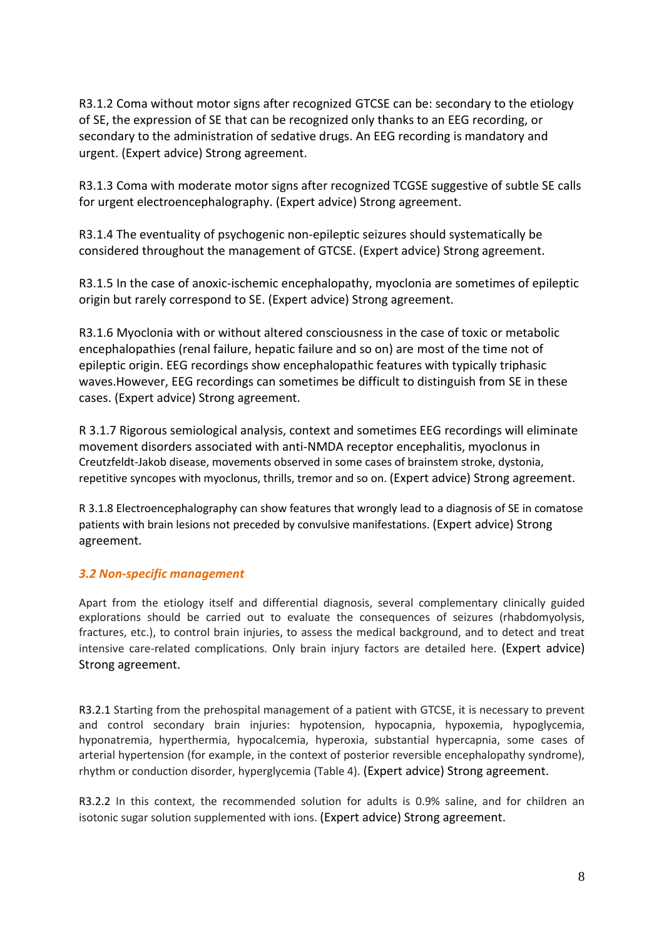R3.1.2 Coma without motor signs after recognized GTCSE can be: secondary to the etiology of SE, the expression of SE that can be recognized only thanks to an EEG recording, or secondary to the administration of sedative drugs. An EEG recording is mandatory and urgent. (Expert advice) Strong agreement.

R3.1.3 Coma with moderate motor signs after recognized TCGSE suggestive of subtle SE calls for urgent electroencephalography. (Expert advice) Strong agreement.

R3.1.4 The eventuality of psychogenic non-epileptic seizures should systematically be considered throughout the management of GTCSE. (Expert advice) Strong agreement.

R3.1.5 In the case of anoxic-ischemic encephalopathy, myoclonia are sometimes of epileptic origin but rarely correspond to SE. (Expert advice) Strong agreement.

R3.1.6 Myoclonia with or without altered consciousness in the case of toxic or metabolic encephalopathies (renal failure, hepatic failure and so on) are most of the time not of epileptic origin. EEG recordings show encephalopathic features with typically triphasic waves.However, EEG recordings can sometimes be difficult to distinguish from SE in these cases. (Expert advice) Strong agreement.

R 3.1.7 Rigorous semiological analysis, context and sometimes EEG recordings will eliminate movement disorders associated with anti-NMDA receptor encephalitis, myoclonus in Creutzfeldt-Jakob disease, movements observed in some cases of brainstem stroke, dystonia, repetitive syncopes with myoclonus, thrills, tremor and so on. (Expert advice) Strong agreement.

R 3.1.8 Electroencephalography can show features that wrongly lead to a diagnosis of SE in comatose patients with brain lesions not preceded by convulsive manifestations. (Expert advice) Strong agreement.

#### *3.2 Non-specific management*

Apart from the etiology itself and differential diagnosis, several complementary clinically guided explorations should be carried out to evaluate the consequences of seizures (rhabdomyolysis, fractures, etc.), to control brain injuries, to assess the medical background, and to detect and treat intensive care-related complications. Only brain injury factors are detailed here. (Expert advice) Strong agreement.

R3.2.1 Starting from the prehospital management of a patient with GTCSE, it is necessary to prevent and control secondary brain injuries: hypotension, hypocapnia, hypoxemia, hypoglycemia, hyponatremia, hyperthermia, hypocalcemia, hyperoxia, substantial hypercapnia, some cases of arterial hypertension (for example, in the context of posterior reversible encephalopathy syndrome), rhythm or conduction disorder, hyperglycemia (Table 4). (Expert advice) Strong agreement.

R3.2.2 In this context, the recommended solution for adults is 0.9% saline, and for children an isotonic sugar solution supplemented with ions. (Expert advice) Strong agreement.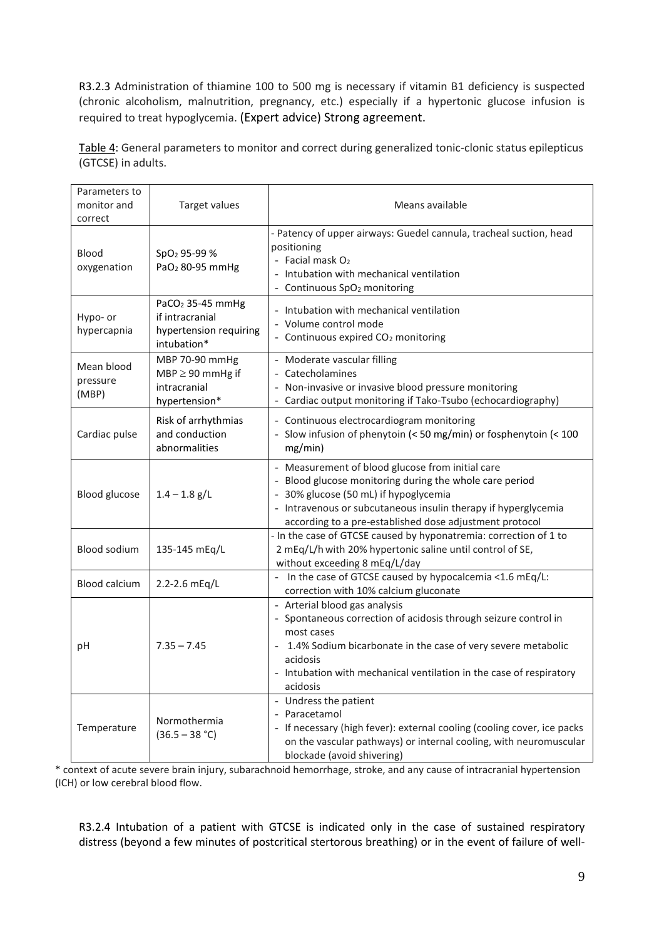R3.2.3 Administration of thiamine 100 to 500 mg is necessary if vitamin B1 deficiency is suspected (chronic alcoholism, malnutrition, pregnancy, etc.) especially if a hypertonic glucose infusion is required to treat hypoglycemia. (Expert advice) Strong agreement.

Table 4: General parameters to monitor and correct during generalized tonic-clonic status epilepticus (GTCSE) in adults.

| Parameters to<br>monitor and<br>correct | Target values                                                                            | Means available                                                                                                                                                                                                                                                                   |
|-----------------------------------------|------------------------------------------------------------------------------------------|-----------------------------------------------------------------------------------------------------------------------------------------------------------------------------------------------------------------------------------------------------------------------------------|
| <b>Blood</b><br>oxygenation             | $SpO2$ 95-99 %<br>PaO <sub>2</sub> 80-95 mmHg                                            | - Patency of upper airways: Guedel cannula, tracheal suction, head<br>positioning<br>- Facial mask O <sub>2</sub><br>Intubation with mechanical ventilation<br>Continuous SpO <sub>2</sub> monitoring                                                                             |
| Hypo- or<br>hypercapnia                 | PaCO <sub>2</sub> 35-45 mmHg<br>if intracranial<br>hypertension requiring<br>intubation* | - Intubation with mechanical ventilation<br>Volume control mode<br>- Continuous expired CO <sub>2</sub> monitoring                                                                                                                                                                |
| Mean blood<br>pressure<br>(MBP)         | MBP 70-90 mmHg<br>$MBP \geq 90$ mmHg if<br>intracranial<br>hypertension*                 | Moderate vascular filling<br>- Catecholamines<br>Non-invasive or invasive blood pressure monitoring<br>Cardiac output monitoring if Tako-Tsubo (echocardiography)                                                                                                                 |
| Cardiac pulse                           | Risk of arrhythmias<br>and conduction<br>abnormalities                                   | - Continuous electrocardiogram monitoring<br>- Slow infusion of phenytoin (< 50 mg/min) or fosphenytoin (< 100<br>mg/min)                                                                                                                                                         |
| <b>Blood glucose</b>                    | $1.4 - 1.8$ g/L                                                                          | - Measurement of blood glucose from initial care<br>- Blood glucose monitoring during the whole care period<br>- 30% glucose (50 mL) if hypoglycemia<br>- Intravenous or subcutaneous insulin therapy if hyperglycemia<br>according to a pre-established dose adjustment protocol |
| Blood sodium                            | 135-145 mEq/L                                                                            | - In the case of GTCSE caused by hyponatremia: correction of 1 to<br>2 mEq/L/h with 20% hypertonic saline until control of SE,<br>without exceeding 8 mEq/L/day                                                                                                                   |
| <b>Blood calcium</b>                    | 2.2-2.6 mEq/L                                                                            | In the case of GTCSE caused by hypocalcemia <1.6 mEq/L:<br>correction with 10% calcium gluconate                                                                                                                                                                                  |
| рH                                      | $7.35 - 7.45$                                                                            | - Arterial blood gas analysis<br>- Spontaneous correction of acidosis through seizure control in<br>most cases<br>1.4% Sodium bicarbonate in the case of very severe metabolic<br>acidosis<br>- Intubation with mechanical ventilation in the case of respiratory<br>acidosis     |
| Temperature                             | Normothermia<br>$(36.5 - 38 °C)$                                                         | - Undress the patient<br>- Paracetamol<br>- If necessary (high fever): external cooling (cooling cover, ice packs<br>on the vascular pathways) or internal cooling, with neuromuscular<br>blockade (avoid shivering)                                                              |

\* context of acute severe brain injury, subarachnoid hemorrhage, stroke, and any cause of intracranial hypertension (ICH) or low cerebral blood flow.

R3.2.4 Intubation of a patient with GTCSE is indicated only in the case of sustained respiratory distress (beyond a few minutes of postcritical stertorous breathing) or in the event of failure of well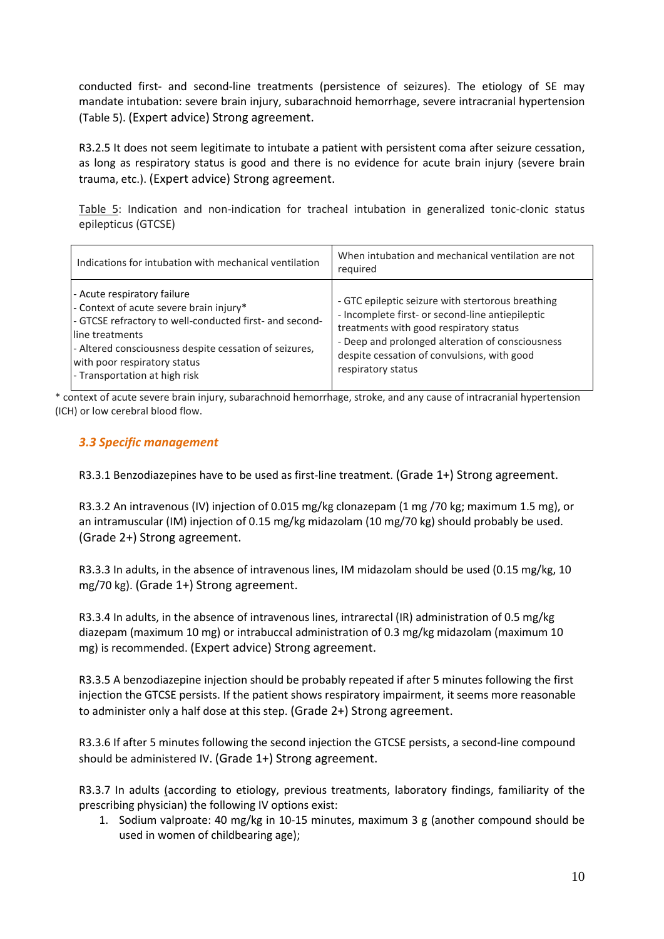conducted first- and second-line treatments (persistence of seizures). The etiology of SE may mandate intubation: severe brain injury, subarachnoid hemorrhage, severe intracranial hypertension (Table 5). (Expert advice) Strong agreement.

R3.2.5 It does not seem legitimate to intubate a patient with persistent coma after seizure cessation, as long as respiratory status is good and there is no evidence for acute brain injury (severe brain trauma, etc.). (Expert advice) Strong agreement.

Table 5: Indication and non-indication for tracheal intubation in generalized tonic-clonic status epilepticus (GTCSE)

| Indications for intubation with mechanical ventilation                                                                                                                                                                                                                          | When intubation and mechanical ventilation are not<br>required                                                                                                                                                                                                            |
|---------------------------------------------------------------------------------------------------------------------------------------------------------------------------------------------------------------------------------------------------------------------------------|---------------------------------------------------------------------------------------------------------------------------------------------------------------------------------------------------------------------------------------------------------------------------|
| - Acute respiratory failure<br>- Context of acute severe brain injury*<br>- GTCSE refractory to well-conducted first- and second-<br>line treatments<br>- Altered consciousness despite cessation of seizures,<br>with poor respiratory status<br>- Transportation at high risk | - GTC epileptic seizure with stertorous breathing<br>- Incomplete first- or second-line antiepileptic<br>treatments with good respiratory status<br>- Deep and prolonged alteration of consciousness<br>despite cessation of convulsions, with good<br>respiratory status |

\* context of acute severe brain injury, subarachnoid hemorrhage, stroke, and any cause of intracranial hypertension (ICH) or low cerebral blood flow.

### *3.3 Specific management*

R3.3.1 Benzodiazepines have to be used as first-line treatment. (Grade 1+) Strong agreement.

R3.3.2 An intravenous (IV) injection of 0.015 mg/kg clonazepam (1 mg /70 kg; maximum 1.5 mg), or an intramuscular (IM) injection of 0.15 mg/kg midazolam (10 mg/70 kg) should probably be used. (Grade 2+) Strong agreement.

R3.3.3 In adults, in the absence of intravenous lines, IM midazolam should be used (0.15 mg/kg, 10 mg/70 kg). (Grade 1+) Strong agreement.

R3.3.4 In adults, in the absence of intravenous lines, intrarectal (IR) administration of 0.5 mg/kg diazepam (maximum 10 mg) or intrabuccal administration of 0.3 mg/kg midazolam (maximum 10 mg) is recommended. (Expert advice) Strong agreement.

R3.3.5 A benzodiazepine injection should be probably repeated if after 5 minutes following the first injection the GTCSE persists. If the patient shows respiratory impairment, it seems more reasonable to administer only a half dose at this step. (Grade 2+) Strong agreement.

R3.3.6 If after 5 minutes following the second injection the GTCSE persists, a second-line compound should be administered IV. (Grade 1+) Strong agreement.

R3.3.7 In adults (according to etiology, previous treatments, laboratory findings, familiarity of the prescribing physician) the following IV options exist:

1. Sodium valproate: 40 mg/kg in 10-15 minutes, maximum 3 g (another compound should be used in women of childbearing age);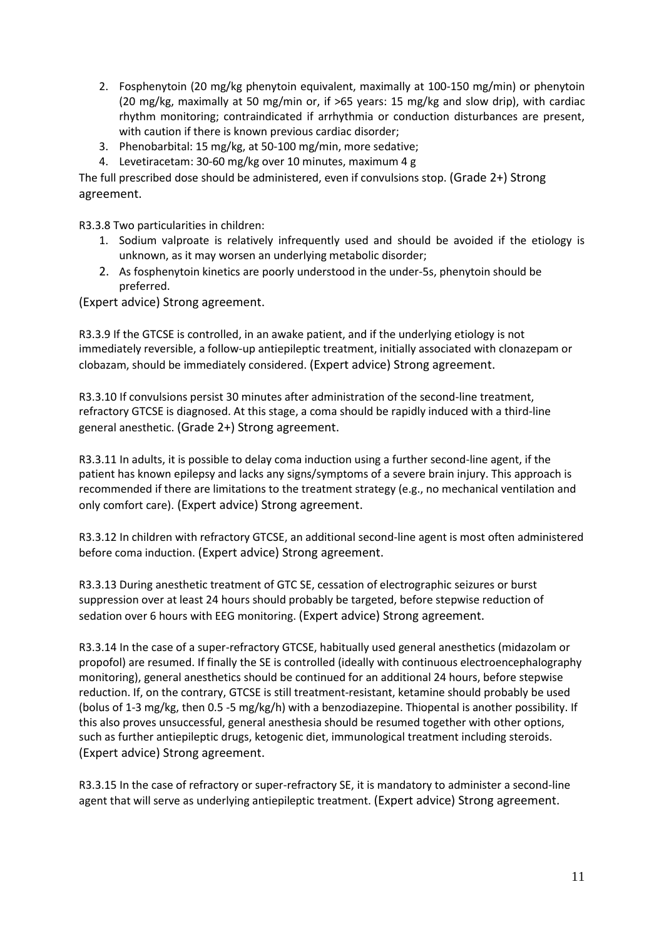- 2. Fosphenytoin (20 mg/kg phenytoin equivalent, maximally at 100-150 mg/min) or phenytoin (20 mg/kg, maximally at 50 mg/min or, if >65 years: 15 mg/kg and slow drip), with cardiac rhythm monitoring; contraindicated if arrhythmia or conduction disturbances are present, with caution if there is known previous cardiac disorder;
- 3. Phenobarbital: 15 mg/kg, at 50-100 mg/min, more sedative;
- 4. Levetiracetam: 30-60 mg/kg over 10 minutes, maximum 4 g

The full prescribed dose should be administered, even if convulsions stop. (Grade 2+) Strong agreement.

R3.3.8 Two particularities in children:

- 1. Sodium valproate is relatively infrequently used and should be avoided if the etiology is unknown, as it may worsen an underlying metabolic disorder;
- 2. As fosphenytoin kinetics are poorly understood in the under-5s, phenytoin should be preferred.

(Expert advice) Strong agreement.

R3.3.9 If the GTCSE is controlled, in an awake patient, and if the underlying etiology is not immediately reversible, a follow-up antiepileptic treatment, initially associated with clonazepam or clobazam, should be immediately considered. (Expert advice) Strong agreement.

R3.3.10 If convulsions persist 30 minutes after administration of the second-line treatment, refractory GTCSE is diagnosed. At this stage, a coma should be rapidly induced with a third-line general anesthetic. (Grade 2+) Strong agreement.

R3.3.11 In adults, it is possible to delay coma induction using a further second-line agent, if the patient has known epilepsy and lacks any signs/symptoms of a severe brain injury. This approach is recommended if there are limitations to the treatment strategy (e.g., no mechanical ventilation and only comfort care). (Expert advice) Strong agreement.

R3.3.12 In children with refractory GTCSE, an additional second-line agent is most often administered before coma induction. (Expert advice) Strong agreement.

R3.3.13 During anesthetic treatment of GTC SE, cessation of electrographic seizures or burst suppression over at least 24 hours should probably be targeted, before stepwise reduction of sedation over 6 hours with EEG monitoring. (Expert advice) Strong agreement.

R3.3.14 In the case of a super-refractory GTCSE, habitually used general anesthetics (midazolam or propofol) are resumed. If finally the SE is controlled (ideally with continuous electroencephalography monitoring), general anesthetics should be continued for an additional 24 hours, before stepwise reduction. If, on the contrary, GTCSE is still treatment-resistant, ketamine should probably be used (bolus of 1-3 mg/kg, then 0.5 -5 mg/kg/h) with a benzodiazepine. Thiopental is another possibility. If this also proves unsuccessful, general anesthesia should be resumed together with other options, such as further antiepileptic drugs, ketogenic diet, immunological treatment including steroids. (Expert advice) Strong agreement.

R3.3.15 In the case of refractory or super-refractory SE, it is mandatory to administer a second-line agent that will serve as underlying antiepileptic treatment. (Expert advice) Strong agreement.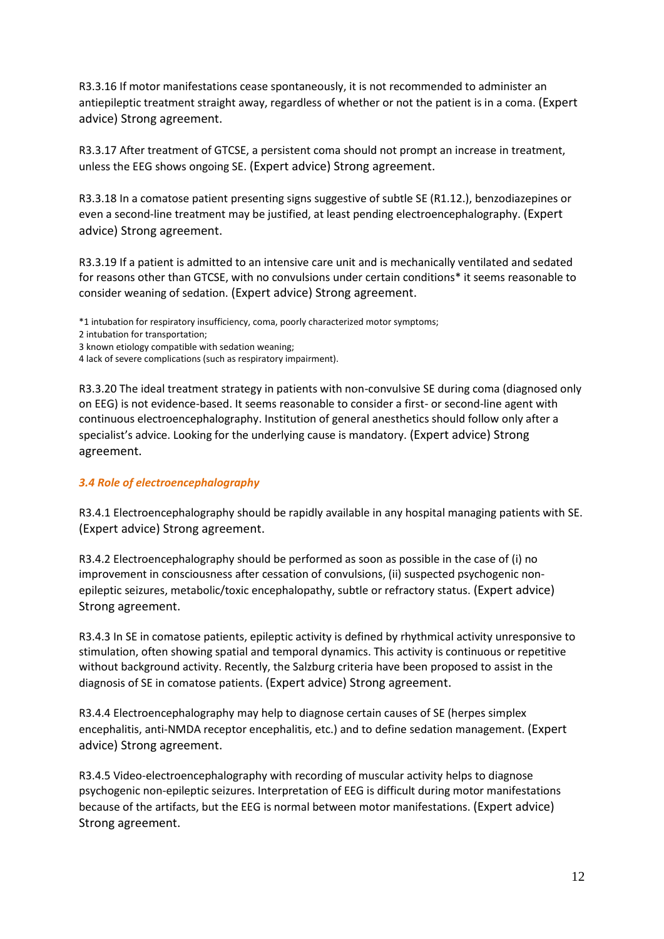R3.3.16 If motor manifestations cease spontaneously, it is not recommended to administer an antiepileptic treatment straight away, regardless of whether or not the patient is in a coma. (Expert advice) Strong agreement.

R3.3.17 After treatment of GTCSE, a persistent coma should not prompt an increase in treatment, unless the EEG shows ongoing SE. (Expert advice) Strong agreement.

R3.3.18 In a comatose patient presenting signs suggestive of subtle SE (R1.12.), benzodiazepines or even a second-line treatment may be justified, at least pending electroencephalography. (Expert advice) Strong agreement.

R3.3.19 If a patient is admitted to an intensive care unit and is mechanically ventilated and sedated for reasons other than GTCSE, with no convulsions under certain conditions\* it seems reasonable to consider weaning of sedation. (Expert advice) Strong agreement.

\*1 intubation for respiratory insufficiency, coma, poorly characterized motor symptoms;

- 2 intubation for transportation;
- 3 known etiology compatible with sedation weaning;
- 4 lack of severe complications (such as respiratory impairment).

R3.3.20 The ideal treatment strategy in patients with non-convulsive SE during coma (diagnosed only on EEG) is not evidence-based. It seems reasonable to consider a first- or second-line agent with continuous electroencephalography. Institution of general anesthetics should follow only after a specialist's advice. Looking for the underlying cause is mandatory. (Expert advice) Strong agreement.

#### *3.4 Role of electroencephalography*

R3.4.1 Electroencephalography should be rapidly available in any hospital managing patients with SE. (Expert advice) Strong agreement.

R3.4.2 Electroencephalography should be performed as soon as possible in the case of (i) no improvement in consciousness after cessation of convulsions, (ii) suspected psychogenic nonepileptic seizures, metabolic/toxic encephalopathy, subtle or refractory status. (Expert advice) Strong agreement.

R3.4.3 In SE in comatose patients, epileptic activity is defined by rhythmical activity unresponsive to stimulation, often showing spatial and temporal dynamics. This activity is continuous or repetitive without background activity. Recently, the Salzburg criteria have been proposed to assist in the diagnosis of SE in comatose patients. (Expert advice) Strong agreement.

R3.4.4 Electroencephalography may help to diagnose certain causes of SE (herpes simplex encephalitis, anti-NMDA receptor encephalitis, etc.) and to define sedation management. (Expert advice) Strong agreement.

R3.4.5 Video-electroencephalography with recording of muscular activity helps to diagnose psychogenic non-epileptic seizures. Interpretation of EEG is difficult during motor manifestations because of the artifacts, but the EEG is normal between motor manifestations. (Expert advice) Strong agreement.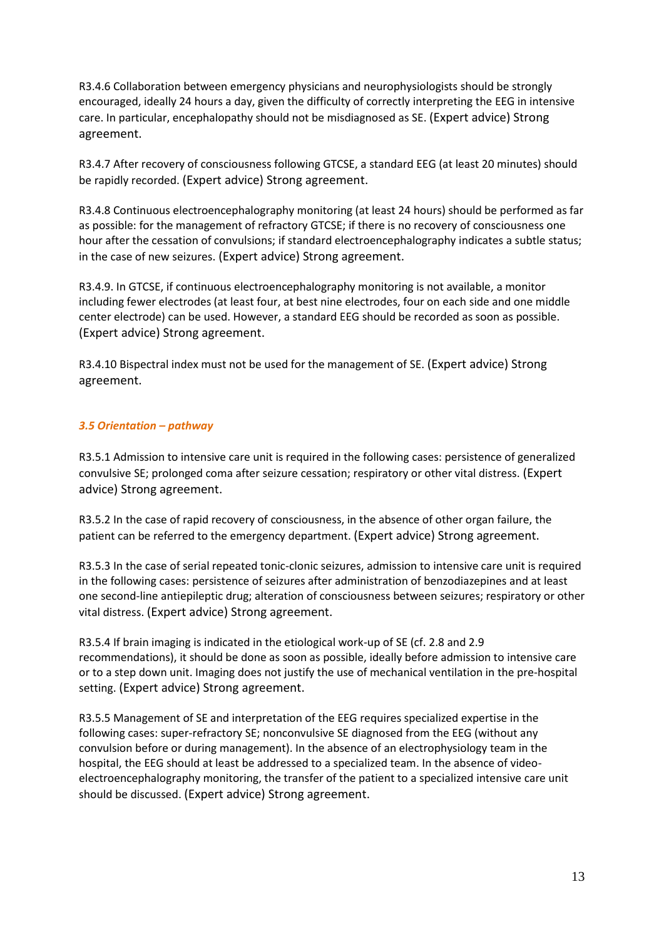R3.4.6 Collaboration between emergency physicians and neurophysiologists should be strongly encouraged, ideally 24 hours a day, given the difficulty of correctly interpreting the EEG in intensive care. In particular, encephalopathy should not be misdiagnosed as SE. (Expert advice) Strong agreement.

R3.4.7 After recovery of consciousness following GTCSE, a standard EEG (at least 20 minutes) should be rapidly recorded. (Expert advice) Strong agreement.

R3.4.8 Continuous electroencephalography monitoring (at least 24 hours) should be performed as far as possible: for the management of refractory GTCSE; if there is no recovery of consciousness one hour after the cessation of convulsions; if standard electroencephalography indicates a subtle status; in the case of new seizures. (Expert advice) Strong agreement.

R3.4.9. In GTCSE, if continuous electroencephalography monitoring is not available, a monitor including fewer electrodes (at least four, at best nine electrodes, four on each side and one middle center electrode) can be used. However, a standard EEG should be recorded as soon as possible. (Expert advice) Strong agreement.

R3.4.10 Bispectral index must not be used for the management of SE. (Expert advice) Strong agreement.

#### *3.5 Orientation – pathway*

R3.5.1 Admission to intensive care unit is required in the following cases: persistence of generalized convulsive SE; prolonged coma after seizure cessation; respiratory or other vital distress. (Expert advice) Strong agreement.

R3.5.2 In the case of rapid recovery of consciousness, in the absence of other organ failure, the patient can be referred to the emergency department. (Expert advice) Strong agreement.

R3.5.3 In the case of serial repeated tonic-clonic seizures, admission to intensive care unit is required in the following cases: persistence of seizures after administration of benzodiazepines and at least one second-line antiepileptic drug; alteration of consciousness between seizures; respiratory or other vital distress. (Expert advice) Strong agreement.

R3.5.4 If brain imaging is indicated in the etiological work-up of SE (cf. 2.8 and 2.9 recommendations), it should be done as soon as possible, ideally before admission to intensive care or to a step down unit. Imaging does not justify the use of mechanical ventilation in the pre-hospital setting. (Expert advice) Strong agreement.

R3.5.5 Management of SE and interpretation of the EEG requires specialized expertise in the following cases: super-refractory SE; nonconvulsive SE diagnosed from the EEG (without any convulsion before or during management). In the absence of an electrophysiology team in the hospital, the EEG should at least be addressed to a specialized team. In the absence of videoelectroencephalography monitoring, the transfer of the patient to a specialized intensive care unit should be discussed. (Expert advice) Strong agreement.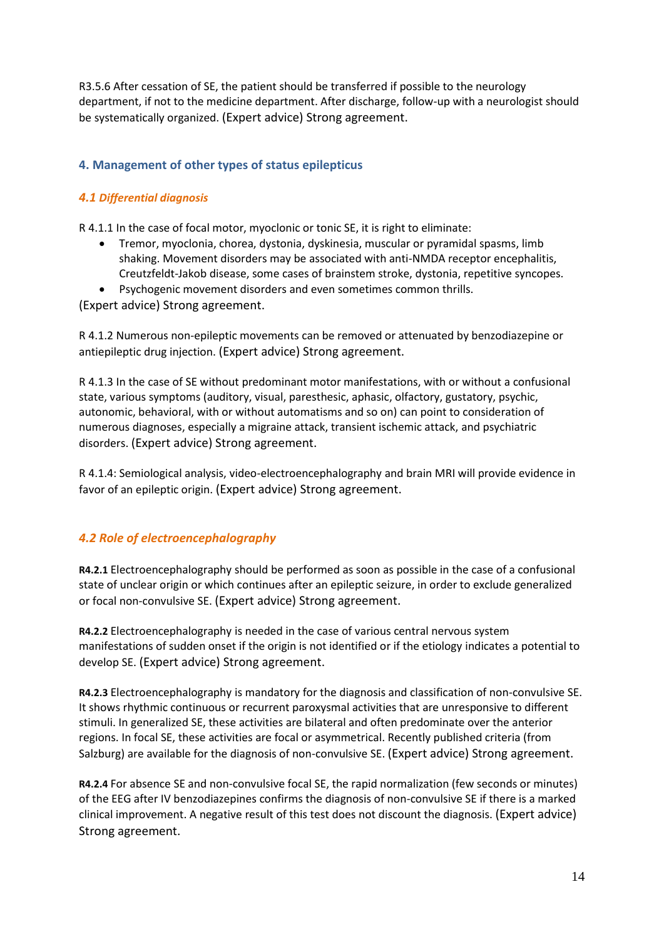R3.5.6 After cessation of SE, the patient should be transferred if possible to the neurology department, if not to the medicine department. After discharge, follow-up with a neurologist should be systematically organized. (Expert advice) Strong agreement.

## **4. Management of other types of status epilepticus**

### *4.1 Differential diagnosis*

R 4.1.1 In the case of focal motor, myoclonic or tonic SE, it is right to eliminate:

- Tremor, myoclonia, chorea, dystonia, dyskinesia, muscular or pyramidal spasms, limb shaking. Movement disorders may be associated with anti-NMDA receptor encephalitis, Creutzfeldt-Jakob disease, some cases of brainstem stroke, dystonia, repetitive syncopes.
- Psychogenic movement disorders and even sometimes common thrills.

(Expert advice) Strong agreement.

R 4.1.2 Numerous non-epileptic movements can be removed or attenuated by benzodiazepine or antiepileptic drug injection. (Expert advice) Strong agreement.

R 4.1.3 In the case of SE without predominant motor manifestations, with or without a confusional state, various symptoms (auditory, visual, paresthesic, aphasic, olfactory, gustatory, psychic, autonomic, behavioral, with or without automatisms and so on) can point to consideration of numerous diagnoses, especially a migraine attack, transient ischemic attack, and psychiatric disorders. (Expert advice) Strong agreement.

R 4.1.4: Semiological analysis, video-electroencephalography and brain MRI will provide evidence in favor of an epileptic origin. (Expert advice) Strong agreement.

## *4.2 Role of electroencephalography*

**R4.2.1** Electroencephalography should be performed as soon as possible in the case of a confusional state of unclear origin or which continues after an epileptic seizure, in order to exclude generalized or focal non-convulsive SE. (Expert advice) Strong agreement.

**R4.2.2** Electroencephalography is needed in the case of various central nervous system manifestations of sudden onset if the origin is not identified or if the etiology indicates a potential to develop SE. (Expert advice) Strong agreement.

**R4.2.3** Electroencephalography is mandatory for the diagnosis and classification of non-convulsive SE. It shows rhythmic continuous or recurrent paroxysmal activities that are unresponsive to different stimuli. In generalized SE, these activities are bilateral and often predominate over the anterior regions. In focal SE, these activities are focal or asymmetrical. Recently published criteria (from Salzburg) are available for the diagnosis of non-convulsive SE. (Expert advice) Strong agreement.

**R4.2.4** For absence SE and non-convulsive focal SE, the rapid normalization (few seconds or minutes) of the EEG after IV benzodiazepines confirms the diagnosis of non-convulsive SE if there is a marked clinical improvement. A negative result of this test does not discount the diagnosis. (Expert advice) Strong agreement.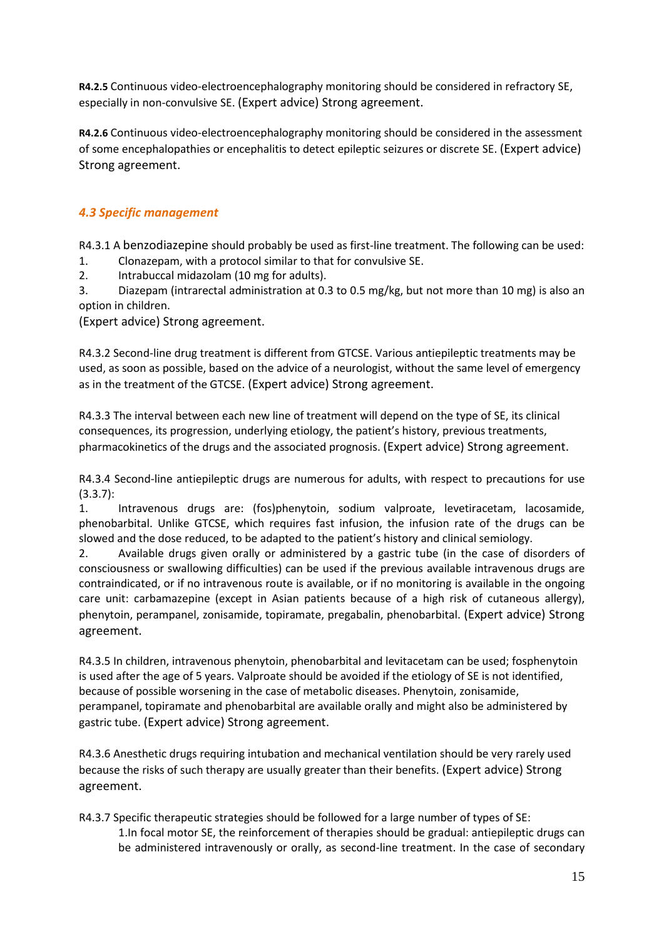**R4.2.5** Continuous video-electroencephalography monitoring should be considered in refractory SE, especially in non-convulsive SE. (Expert advice) Strong agreement.

**R4.2.6** Continuous video-electroencephalography monitoring should be considered in the assessment of some encephalopathies or encephalitis to detect epileptic seizures or discrete SE. (Expert advice) Strong agreement.

## *4.3 Specific management*

R4.3.1 A benzodiazepine should probably be used as first-line treatment. The following can be used:

1. Clonazepam, with a protocol similar to that for convulsive SE.

2. Intrabuccal midazolam (10 mg for adults).

3. Diazepam (intrarectal administration at 0.3 to 0.5 mg/kg, but not more than 10 mg) is also an option in children.

(Expert advice) Strong agreement.

R4.3.2 Second-line drug treatment is different from GTCSE. Various antiepileptic treatments may be used, as soon as possible, based on the advice of a neurologist, without the same level of emergency as in the treatment of the GTCSE. (Expert advice) Strong agreement.

R4.3.3 The interval between each new line of treatment will depend on the type of SE, its clinical consequences, its progression, underlying etiology, the patient's history, previous treatments, pharmacokinetics of the drugs and the associated prognosis. (Expert advice) Strong agreement.

R4.3.4 Second-line antiepileptic drugs are numerous for adults, with respect to precautions for use (3.3.7):

1. Intravenous drugs are: (fos)phenytoin, sodium valproate, levetiracetam, lacosamide, phenobarbital. Unlike GTCSE, which requires fast infusion, the infusion rate of the drugs can be slowed and the dose reduced, to be adapted to the patient's history and clinical semiology.

2. Available drugs given orally or administered by a gastric tube (in the case of disorders of consciousness or swallowing difficulties) can be used if the previous available intravenous drugs are contraindicated, or if no intravenous route is available, or if no monitoring is available in the ongoing care unit: carbamazepine (except in Asian patients because of a high risk of cutaneous allergy), phenytoin, perampanel, zonisamide, topiramate, pregabalin, phenobarbital. (Expert advice) Strong agreement.

R4.3.5 In children, intravenous phenytoin, phenobarbital and levitacetam can be used; fosphenytoin is used after the age of 5 years. Valproate should be avoided if the etiology of SE is not identified, because of possible worsening in the case of metabolic diseases. Phenytoin, zonisamide, perampanel, topiramate and phenobarbital are available orally and might also be administered by gastric tube. (Expert advice) Strong agreement.

R4.3.6 Anesthetic drugs requiring intubation and mechanical ventilation should be very rarely used because the risks of such therapy are usually greater than their benefits. (Expert advice) Strong agreement.

R4.3.7 Specific therapeutic strategies should be followed for a large number of types of SE: 1.In focal motor SE, the reinforcement of therapies should be gradual: antiepileptic drugs can be administered intravenously or orally, as second-line treatment. In the case of secondary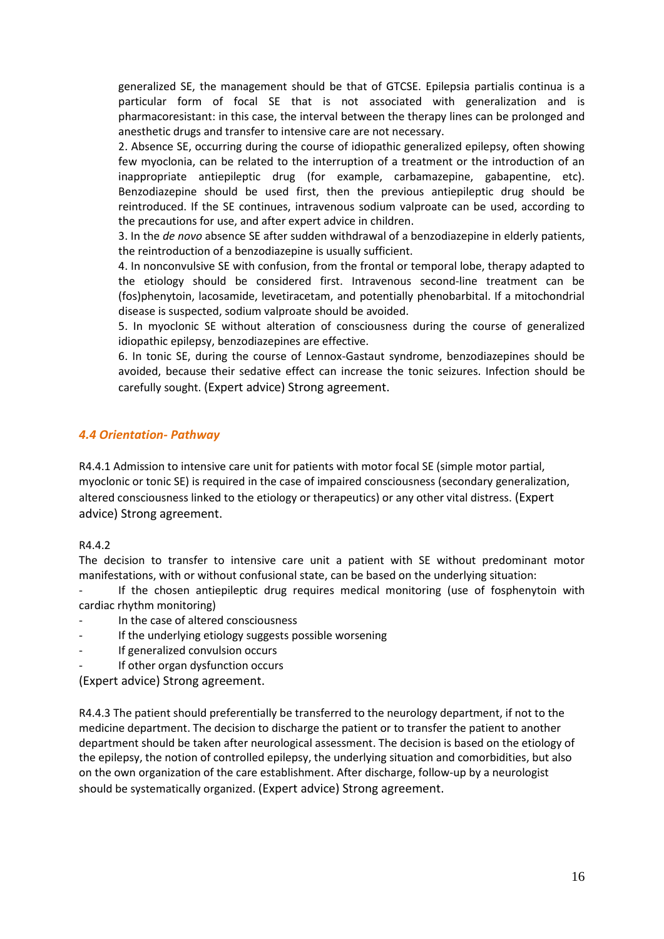generalized SE, the management should be that of GTCSE. Epilepsia partialis continua is a particular form of focal SE that is not associated with generalization and is pharmacoresistant: in this case, the interval between the therapy lines can be prolonged and anesthetic drugs and transfer to intensive care are not necessary.

2. Absence SE, occurring during the course of idiopathic generalized epilepsy, often showing few myoclonia, can be related to the interruption of a treatment or the introduction of an inappropriate antiepileptic drug (for example, carbamazepine, gabapentine, etc). Benzodiazepine should be used first, then the previous antiepileptic drug should be reintroduced. If the SE continues, intravenous sodium valproate can be used, according to the precautions for use, and after expert advice in children.

3. In the *de novo* absence SE after sudden withdrawal of a benzodiazepine in elderly patients, the reintroduction of a benzodiazepine is usually sufficient.

4. In nonconvulsive SE with confusion, from the frontal or temporal lobe, therapy adapted to the etiology should be considered first. Intravenous second-line treatment can be (fos)phenytoin, lacosamide, levetiracetam, and potentially phenobarbital. If a mitochondrial disease is suspected, sodium valproate should be avoided.

5. In myoclonic SE without alteration of consciousness during the course of generalized idiopathic epilepsy, benzodiazepines are effective.

6. In tonic SE, during the course of Lennox-Gastaut syndrome, benzodiazepines should be avoided, because their sedative effect can increase the tonic seizures. Infection should be carefully sought. (Expert advice) Strong agreement.

### *4.4 Orientation- Pathway*

R4.4.1 Admission to intensive care unit for patients with motor focal SE (simple motor partial, myoclonic or tonic SE) is required in the case of impaired consciousness (secondary generalization, altered consciousness linked to the etiology or therapeutics) or any other vital distress. (Expert advice) Strong agreement.

#### R4.4.2

The decision to transfer to intensive care unit a patient with SE without predominant motor manifestations, with or without confusional state, can be based on the underlying situation:

If the chosen antiepileptic drug requires medical monitoring (use of fosphenytoin with cardiac rhythm monitoring)

- In the case of altered consciousness
- If the underlying etiology suggests possible worsening
- If generalized convulsion occurs
- If other organ dysfunction occurs

(Expert advice) Strong agreement.

R4.4.3 The patient should preferentially be transferred to the neurology department, if not to the medicine department. The decision to discharge the patient or to transfer the patient to another department should be taken after neurological assessment. The decision is based on the etiology of the epilepsy, the notion of controlled epilepsy, the underlying situation and comorbidities, but also on the own organization of the care establishment. After discharge, follow-up by a neurologist should be systematically organized. (Expert advice) Strong agreement.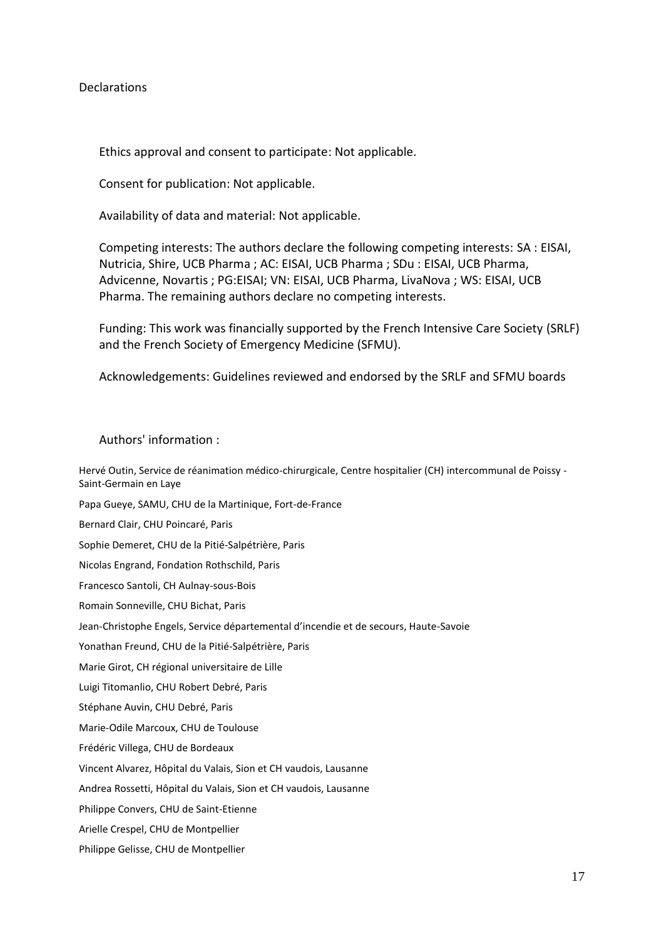#### Declarations

Ethics approval and consent to participate: Not applicable.

Consent for publication: Not applicable.

Availability of data and material: Not applicable.

Competing interests: The authors declare the following competing interests: SA : EISAI, Nutricia, Shire, UCB Pharma ; AC: EISAI, UCB Pharma ; SDu : EISAI, UCB Pharma, Advicenne, Novartis ; PG:EISAI; VN: EISAI, UCB Pharma, LivaNova ; WS: EISAI, UCB Pharma. The remaining authors declare no competing interests.

Funding: This work was financially supported by the French Intensive Care Society (SRLF) and the French Society of Emergency Medicine (SFMU).

Acknowledgements: Guidelines reviewed and endorsed by the SRLF and SFMU boards

Authors' information :

Hervé Outin, Service de réanimation médico-chirurgicale, Centre hospitalier (CH) intercommunal de Poissy - Saint-Germain en Laye

Papa Gueye, SAMU, CHU de la Martinique, Fort-de-France

Bernard Clair, CHU Poincaré, Paris

Sophie Demeret, CHU de la Pitié-Salpétrière, Paris

Nicolas Engrand, Fondation Rothschild, Paris

Francesco Santoli, CH Aulnay-sous-Bois

Romain Sonneville, CHU Bichat, Paris

Jean-Christophe Engels, Service départemental d'incendie et de secours, Haute-Savoie

Yonathan Freund, CHU de la Pitié-Salpétrière, Paris

Marie Girot, CH régional universitaire de Lille

Luigi Titomanlio, CHU Robert Debré, Paris

Stéphane Auvin, CHU Debré, Paris

Marie-Odile Marcoux, CHU de Toulouse

Frédéric Villega, CHU de Bordeaux

Vincent Alvarez, Hôpital du Valais, Sion et CH vaudois, Lausanne

Andrea Rossetti, Hôpital du Valais, Sion et CH vaudois, Lausanne

Philippe Convers, CHU de Saint-Etienne

Arielle Crespel, CHU de Montpellier

Philippe Gelisse, CHU de Montpellier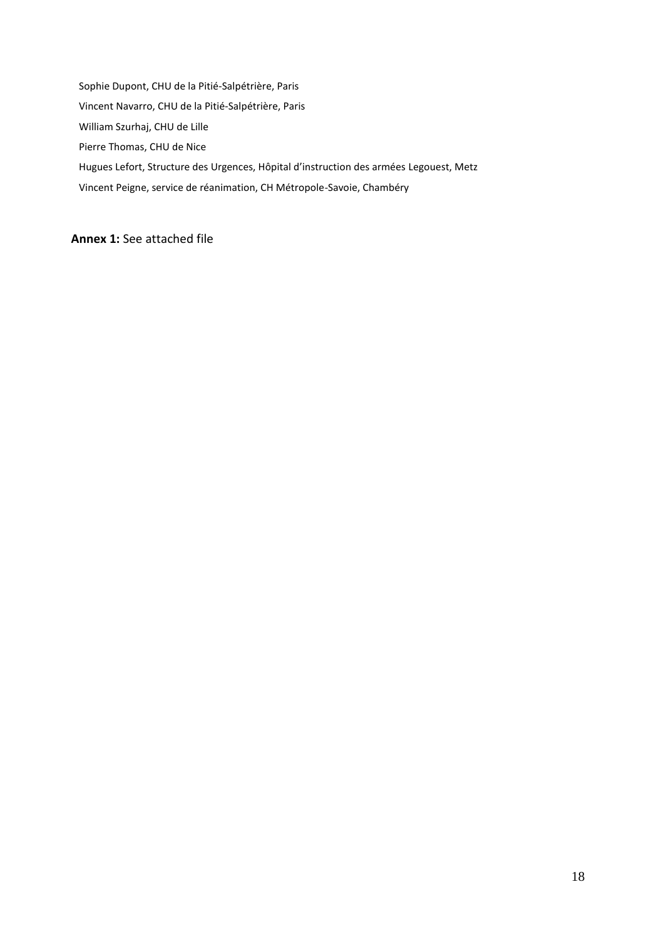Sophie Dupont, CHU de la Pitié-Salpétrière, Paris Vincent Navarro, CHU de la Pitié-Salpétrière, Paris William Szurhaj, CHU de Lille Pierre Thomas, CHU de Nice Hugues Lefort, Structure des Urgences, Hôpital d'instruction des armées Legouest, Metz Vincent Peigne, service de réanimation, CH Métropole-Savoie, Chambéry

## **Annex 1:** See attached file